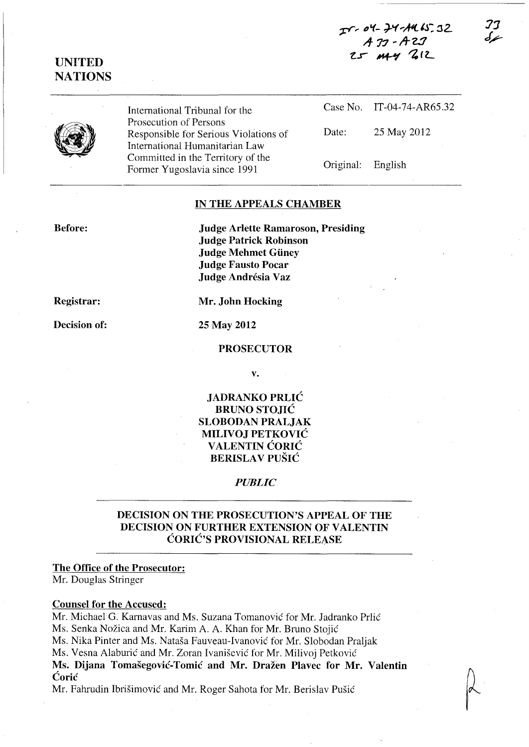**1:Y -" ,,'1- J..'f"'AIl. IJ:** ~L **A- 77** ~ **A-z:J**  *t..r* ~ ~(z....





International Tribunal for the Prosecution of Persons Responsible for Serious Violations of International Humanitarian Law Committed in the Territory of the Former Yugoslavia since 1991

Case No. IT-04-74-AR65.32 Date: 25 May 2012 Original: English

#### **IN THE APPEALS CHAMBER**

**Before:** 

**Judge Arlette Ramaroson, Presiding Judge Patrick Robinson Judge Mehmet Guney Judge Fausto Pocar Judge Andresia Vaz** 

**Registrar:** 

**Decision of:** 

**Mr. John Hocking** 

**25 May 2012** 

#### **PROSECUTOR**

**v.** 

### **JADRANKO PRLIC BRUNO STOJIC SLOBODAN PRALJAK MILIVOJ PETKOVIC VALENTIN CORIC BERISLA V PUSIC**

*PUBLIC* 

### **DECISION ON THE PROSECUTION'S APPEAL OF THE DECISION ON FURTHER EXTENSION OF VALENTIN CORIC'S PROVISIONAL RELEASE**

#### **The Office of the Prosecutor:**

Mr. Douglas Stringer

#### **Counsel for the Accused:**

Mr. Michael G. Karnavas and Ms. Suzana Tomanovic for Mr. ladranko Prlic Ms. Senka Nožica and Mr. Karim A. A. Khan for Mr. Bruno Stojić Ms. Nika Pinter and Ms. Natasa Fauveau-Ivanovic for Mr. Slobodan Praljak Ms. Vesna Alaburic and Mr. Zoran Ivanisevic for Mr. Milivoj Petkovic **Ms. Dijana Tomasegovic-Tomic and Mr. Drazen Plavec for Mr. Valentin Coric** 

Mr. Fahrudin Ibrisimovic and Mr. Roger Sahota for Mr. Berislav Pusic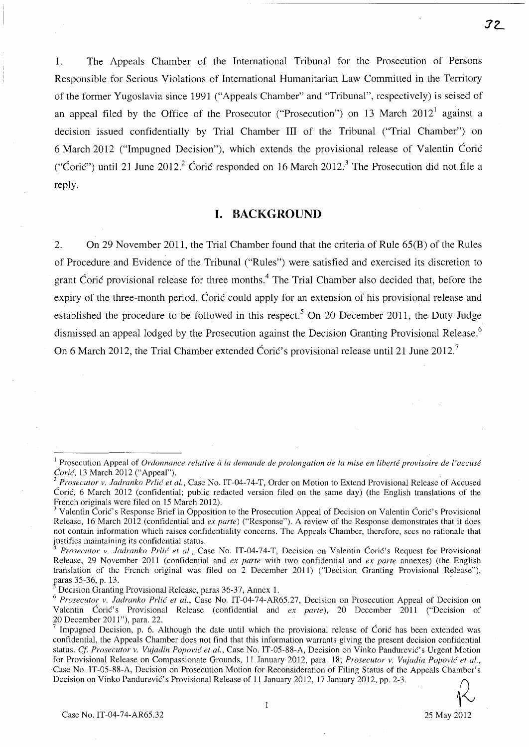1. The Appeals Chamber of the International Tribunal for the Prosecution of Persons Responsible for Serious Violations of International Humanitarian Law Committed in the Territory of the former Yugoslavia since 1991 ("Appeals Chamber" and "Tribunal", respectively) is seised of an appeal filed by the Office of the Prosecutor ("Prosecution") on 13 March  $2012<sup>1</sup>$  against a decision issued confidentially by Trial Chamber **III** of the Tribunal ("Trial Chamber") on 6 March 2012 ("Impugned Decision"), which extends the provisional release of Valentin Corie ("Ćorić") until 21 June 2012.<sup>2</sup> Ćorić responded on 16 March 2012.<sup>3</sup> The Prosecution did not file a reply.

#### **I. BACKGROUND**

2. On 29 November 2011, the Trial Chamber found that the criteria of Rule 65(B) of the Rules of Procedure and Evidence of the Tribunal ("Rules") were satisfied and exercised its discretion to grant Coric provisional release for three months.<sup>4</sup> The Trial Chamber also decided that, before the expiry of the three-month period, Coric could apply for an extension of his provisional release and established the procedure to be followed in this respect.<sup>5</sup> On 20 December 2011, the Duty Judge dismissed an appeal lodged by the Prosecution against the Decision Granting Provisional Release.<sup>6</sup> On 6 March 2012, the Trial Chamber extended Ćorić's provisional release until 21 June 2012.<sup>7</sup>

 $\mathbf{1}$ 

<sup>&</sup>lt;sup>1</sup> Prosecution Appeal of *Ordonnance relative à la demande de prolongation de la mise en liberté provisoire de l'accusé Coric(,* 13 March 2012 ("Appeal"). .

<sup>&</sup>lt;sup>2</sup> Prosecutor v. Jadranko Prlić et al., Case No. IT-04-74-T, Order on Motion to Extend Provisional Release of Accused Corie, 6 March 2012 (confidential; public redacted version filed on the same day) (the English translations of the French originals were filed on 15 March 2012).

Valentin Corić's Response Brief in Opposition to the Prosecution Appeal of Decision on Valentin Corić's Provisional Release, 16 March 2012 (confidential and *ex parte)* ("Response"). A review of the Response demonstrates that it does not contain information which raises confidentiality concerns. The Appeals Chamber, therefore, sees no rationale that justifies maintaining its confidential status.

*Prosecutor v. Jadranko Prlić et al., Case No. IT-04-74-T, Decision on Valentin Ćorić's Request for Provisional* Release, 29 November 2011 (confidential and *ex parte* with two confidential and *ex parte* annexes) (the English translation of the French original was filed on 2 December 2011) ("Decision Granting Provisional Release"), paras 35-36, p. 13.

Decision Granting Provisional Release, paras 36-37, Annex 1.

<sup>&</sup>lt;sup>6</sup> Prosecutor v. Jadranko Prlić et al., Case No. IT-04-74-AR65.27, Decision on Prosecution Appeal of Decision on Valentin Corie's Provisional Release (confidential and *ex parte),* 20 December 2011 ("Decision of 20 December 2011"), para. 22.

Impugned Decision, p. 6. Although the date until which the provisional release of Corie has been extended was confidential, the Appeals Chamber does not find that this information warrants giving the present decision confidential status. *Cf Prosecutor v. Vujadin Popovic et al.,* Case No. IT-05-88-A, Decision on Vinko Pandurevie's Urgent Motion for Provisional Release on Compassionate Grounds, 11 January 2012, para. 18; *Prosecutor v. Vujadin Popović et al.*, Case No. IT-05-88-A, Decision on Prosecution Motion for Reconsideration of Filing Status of the Appeals Chamber's Decision on Vinko Pandurević's Provisional Release of 11 January 2012, 17 January 2012, pp. 2-3.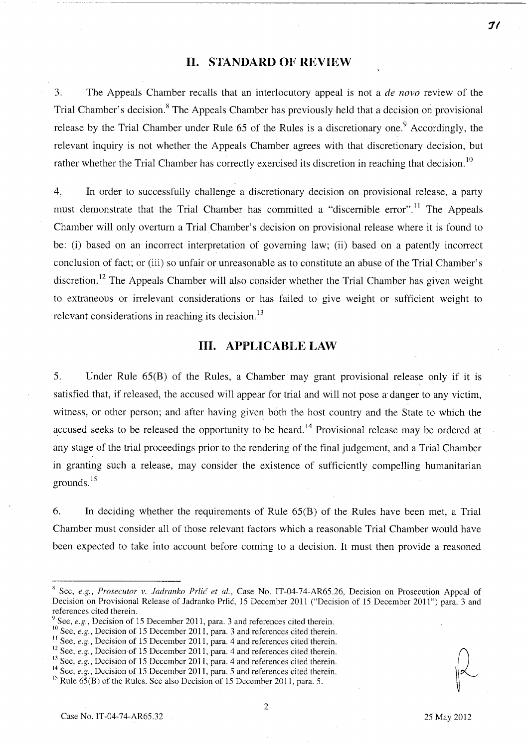### **II. STANDARD OF REVIEW**

3. The Appeals Chamber recalls that an interlocutory appeal is not a *de novo* review of the Trial Chamber's decision.<sup>8</sup> The Appeals Chamber has previously held that a decision on provisional release by the Trial Chamber under Rule  $65$  of the Rules is a discretionary one.<sup>9</sup> Accordingly, the relevant inquiry is not whether the Appeals Chamber agrees with that discretionary decision, but rather whether the Trial Chamber has correctly exercised its discretion in reaching that decision.<sup>10</sup>

4. **In** order to successfully challenge a discretionary decision on provisional release, a party must demonstrate that the Trial Chamber has committed a "discernible error".<sup>11</sup> The Appeals Chamber will only overturn a Trial Chamber's decision on provisional release where it is found to be: (i) based on an incorrect interpretation of governing law; (ii) based on a patently incorrect conclusion of fact; or (iii) so unfair or unreasonable as to constitute an abuse of the Trial Chamber's discretion.<sup>12</sup> The Appeals Chamber will also consider whether the Trial Chamber has given weight to extraneous or irrelevant considerations or has failed to give weight or sufficient weight to relevant considerations in reaching its decision.<sup>13</sup>

## **III. APPLICABLE LAW**

5. Under Rule 65(B) of the Rules, a Chamber may grant provisional release only if it is satisfied that, if released, the accused will appear for trial and will not pose a danger to any victim, witness, or other person; and after having given both the host country and the State to which the accused seeks to be released the opportunity to be heard.<sup>14</sup> Provisional release may be ordered at any stage of the trial proceedings prior to the rendering of the final judgement, and a Trial Chamber in granting such a release, may consider the existence of sufficiently compelling humanitarian grounds.<sup>15</sup>

6. **In** deciding whether the requirements of Rule 65(B) of the Rules have been met, a Trial Chamber must consider all of those relevant factors which a reasonable Trial Chamber would have been expected to take into account before coming to a decision. It must then provide a reasoned

- <sup>9</sup> See, *e.g.*, Decision of 15 December 2011, para. 3 and references cited therein.
- 10See, *e.g.*, Decision of 15 December 2011, para. 3 and references cited therein.
- <sup>11</sup> See, *e.g.*, Decision of 15 December 2011, para. 4 and references cited therein.
- <sup>12</sup> See, *e.g.*, Decision of 15 December 2011, para. 4 and references cited therein.
- <sup>13</sup> See, *e.g.*, Decision of 15 December 2011, para. 4 and references cited therein.
- <sup>14</sup> See, *e.g.*, Decision of 15 December 2011, para. 5 and references cited therein.

**7/** 

<sup>&</sup>lt;sup>8</sup> See, *e.g., Prosecutor v. Jadranko Prlić et al.*, Case No. IT-04-74-AR65.26, Decision on Prosecution Appeal of Decision on Provisional Release of ladranko Prlic, 15 December 2011 ("Decision of 15 December 2011") para. 3 and references cited therein.

<sup>&</sup>lt;sup>15</sup> Rule  $65(B)$  of the Rules. See also Decision of 15 December 2011, para. 5.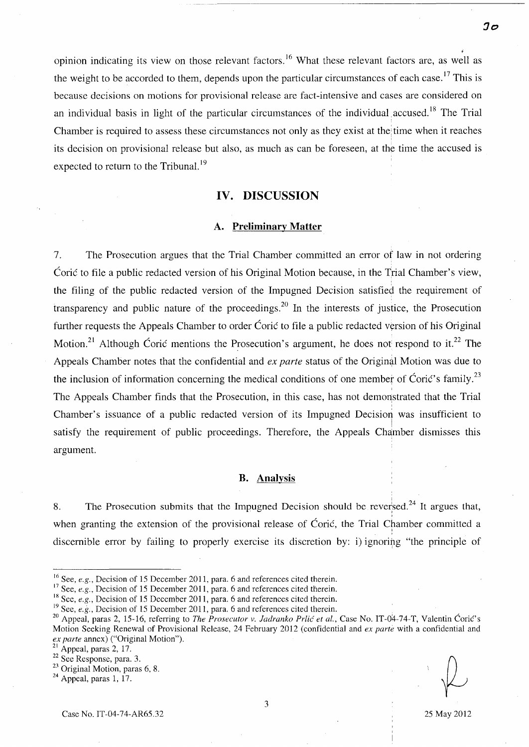• opinion indicating its view on those relevant factors.<sup>16</sup> What these relevant factors are, as well as the weight to be accorded to them, depends upon the particular circumstances of each case.<sup>17</sup> This is because decisions on motions for provisional release are fact-intensive and cases are considered on an individual basis in light of the particular circumstances of the individual accused.<sup>18</sup> The Trial Chamber is required to assess these circumstances not only as they exist at the time when it reaches I its decision on provisional release but also, as much as can be foreseen, at the time the accused is expected to return to the Tribunal.<sup>19</sup>

#### **IV. DISCUSSION**

#### **A. Preliminary Matter**

7. The Prosecution argues that the Trial Chamber committed an error of law in not ordering Coric to file a public redacted version of his Original Motion because, in the Trial Chamber's view, the filing of the public redacted version of the Impugned Decision satisfied the requirement of transparency and public nature of the proceedings.<sup>20</sup> In the interests of justice, the Prosecution further requests the Appeals Chamber to order Coric to file a public redacted version of his Original Motion.<sup>21</sup> Although Coric mentions the Prosecution's argument, he does not respond to it.<sup>22</sup> The Appeals Chamber notes that the confidential and *ex parte* status of the Original Motion was due to the inclusion of information concerning the medical conditions of one member of Ćorić's family.<sup>23</sup> The Appeals Chamber finds that the Prosecution, in this case, has not demonstrated that the Trial Chamber's issuance of a public redacted version of its Impugned Decision was insufficient to satisfy the requirement of public proceedings. Therefore, the Appeals Chamber dismisses this argument.

#### **B. Analysis**

8. The Prosecution submits that the Impugned Decision should be reversed.<sup>24</sup> It argues that, I when granting the extension of the provisional release of Coric, the Trial Chamber committed a , discernible error by failing to properly exercise its discretion by: i) ignoring "the principle of

<sup>&</sup>lt;sup>16</sup> See, *e.g.*, Decision of 15 December 2011, para. 6 and references cited therein.

<sup>&</sup>lt;sup>17</sup> See, *e.g.*, Decision of 15 December 2011, para. 6 and references cited therein.

<sup>&</sup>lt;sup>18</sup> See, *e.g.*, Decision of 15 December 2011, para. 6 and references cited therein.

<sup>&</sup>lt;sup>19</sup> See, *e.g.*, Decision of 15 December 2011, para. 6 and references cited therein.

<sup>&</sup>lt;sup>20</sup> Appeal, paras 2, 15-16, referring to *The Prosecutor v. Jadranko Prlić et al.*, Case No. IT-04-74-T, Valentin Ćorić's Motion Seeking Renewal of Provisional Release, 24 February 2012 (confidential and *ex parte* with a confidential and *ex parte* annex) ("Original Motion").  $\begin{array}{c} \begin{array}{c} \circ \\ \circ \\ \circ \end{array} \end{array}$ 

Appeal, paras 2, 17.

 $\frac{22}{3}$  See Response, para. 3.

<sup>&</sup>lt;sup>23</sup> Original Motion, paras

 $24$  Appeal, paras 1, 17.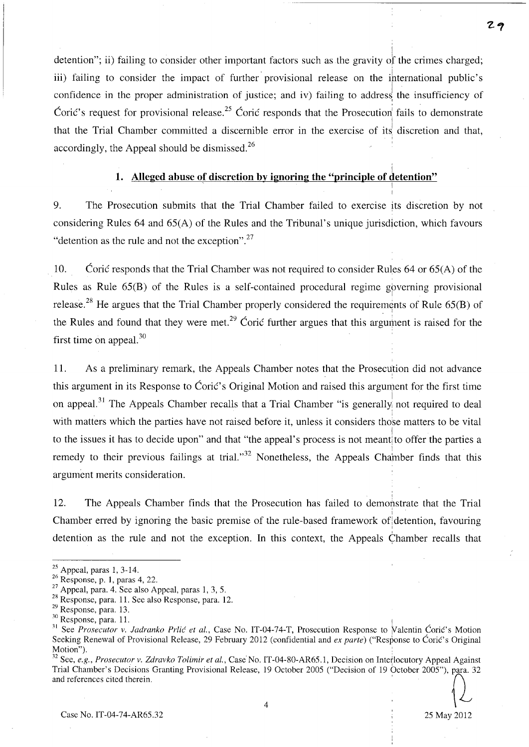! detention"; ii) failing to consider other important factors such as the gravity of the crimes charged; iii) failing to consider the impact of further provisional release on the international public's confidence in the proper administration of justice; and iv) failing to address the insufficiency of Corić's request for provisional release.<sup>25</sup> Corić responds that the Prosecution fails to demonstrate that the Trial Chamber committed a discernible error in the exercise of its discretion and that, accordingly, the Appeal should be dismissed. $^{26}$ 

## i **1.** Alleged abuse of discretion by ignoring the "principle of detention"  $\frac{1}{1}$

9. The Prosecution submits that the Trial Chamber failed to exercise its discretion by not considering Rules 64 and 65(A) of the Rules and the Tribunal's unique jurisdiction, which favours "detention as the rule and not the exception".<sup>27</sup>

10. Corie responds that the Trial Chamber was not required to consider Rules 64 or  $65(A)$  of the Rules as Rule  $65(B)$  of the Rules is a self-contained procedural regime governing provisional release.<sup>28</sup> He argues that the Trial Chamber properly considered the requirements of Rule 65(B) of the Rules and found that they were met.<sup>29</sup> Coric further argues that this argument is raised for the first time on appeal.<sup>30</sup>

11. As a preliminary remark, the Appeals Chamber notes that the Prosecution did not advance this argument in its Response to Ćorić's Original Motion and raised this argument for the first time on appeal.<sup>31</sup> The Appeals Chamber recalls that a Trial Chamber "is generally not required to deal i. with matters which the parties have not raised before it, unless it considers those matters to be vital I to the issues it has to decide upon" and that "the appeal's process is not meant to offer the parties a remedy to their previous failings at trial."<sup>32</sup> Nonetheless, the Appeals Chamber finds that this argument merits consideration.

12. The Appeals Chamber finds that the Prosecution has failed to demonstrate that the Trial Chamber erred by ignoring the basic premise of the rule-based framework of detention, favouring detention as the rule and not the exception. In this context, the Appeals Chamber recalls that

 $\overline{4}$ 

 $25$  Appeal, paras 1, 3-14.

<sup>26</sup> Response, p. 1, paras 4, 22.

<sup>27</sup> Appeal, para. 4. See also Appeal, paras I, 3, 5.

<sup>28</sup> Response, para. 11. See also Response, para. 12.

*<sup>2</sup>Y* Response, para. 13.

<sup>&</sup>lt;sup>30</sup> Response, para. 11.

<sup>&</sup>lt;sup>31</sup> See *Prosecutor v. Jadranko Prlić et al.*, Case No. IT-04-74-T, Prosecution Response to Valentin Ćorić's Motion Seeking Renewal of Provisional Release, 29 February 2012 (confidential and *ex parte)* ("Response to Corie's Original Motion").

<sup>&</sup>lt;sup>32</sup> See, *e.g., Prosecutor v. Zdravko Tolimir et al.*, Case No. IT-04-80-AR65.1, Decision on Interlocutory Appeal Against Trial Chamber's Decisions Granting Provisional Release, 19 October 2005 ("Decision of 19 October 20 Trial Chamber's Decisions Granting Provisional Release, 19 October 2005 ("Decision of 19 October 2005"), para. 32 and references cited therein.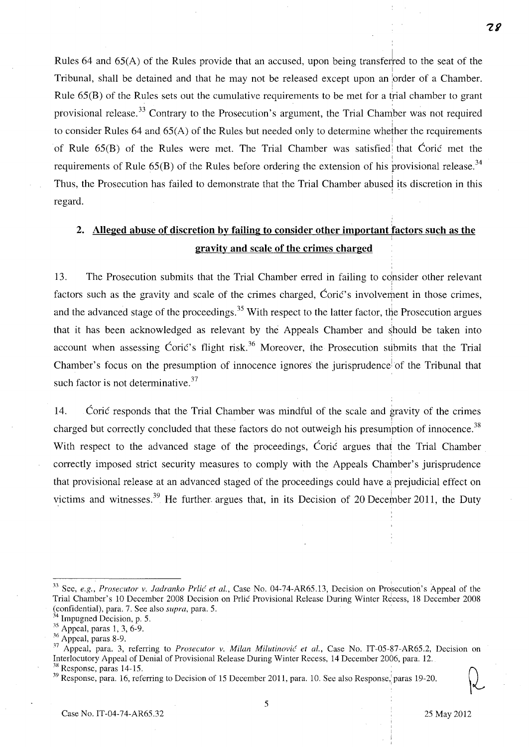Rules 64 and  $65(A)$  of the Rules provide that an accused, upon being transferred to the seat of the ļ. Tribunal, shall be detained and that he may not be released except upon an order of a Chamber. Rule 65(B) of the Rules sets out the cumulative requirements to be met for a trial chamber to grant provisional release.<sup>33</sup> Contrary to the Prosecution's argument, the Trial Chamber was not required to consider Rules 64 and 65(A) of the Rules but needed only to determine whether the requirements of Rule  $65(B)$  of the Rules were met. The Trial Chamber was satisfied that Coric met the requirements of Rule 65(B) of the Rules before ordering the extension of his provisional release.<sup>34</sup> Thus, the Prosecution has failed to demonstrate that the Trial Chamber abused its discretion in this regard.

## **2. Alleged abuse of discretion by failing to consider other important factors such as the gravity and scale of the crimes charged**

13. The Prosecution submits that the Trial Chamber erred in failing to consider other relevant factors such as the gravity and scale of the crimes charged, Coric's involvement in those crimes, and the advanced stage of the proceedings.<sup>35</sup> With respect to the latter factor, the Prosecution argues that it has been acknowledged as relevant by the Appeals Chamber and should be taken into account when assessing Coric's flight risk.<sup>36</sup> Moreover, the Prosecution submits that the Trial Chamber's focus on the presumption of innocence ignores' the jurisprudence! of the Tribunal that such factor is not determinative.<sup>37</sup>

14. Corie responds that the Trial Chamber was mindful of the scale and gravity of the crimes I charged but correctly concluded that these factors do not outweigh his presumption of innocence.<sup>38</sup> With respect to the advanced stage of the proceedings, Corie argues that the Trial Chamber correctly imposed strict security measures to comply with the Appeals Chamber's jurisprudence I that provisional release at an advanced staged of the proceedings could have a prejudicial effect on victims and witnesses.<sup>39</sup> He further argues that, in its Decision of 20 December 2011, the Duty

<sup>&</sup>lt;sup>33</sup> See, *e.g., Prosecutor v. Jadranko Prlić et al.*, Case No. 04-74-AR65.13, Decision on Prosecution's Appeal of the Trial Chamber's 10 December 2008 Decision on Prlic Provisional Release During Winter Recess, 18 December 2008 (confidential), para. 7. See also *supra,* para. 5. '

Impugned Decision, p. 5.

 $35$  Appeal, paras 1, 3, 6-9.

<sup>&</sup>lt;sup>36</sup> Appeal, paras 8-9.

<sup>&</sup>lt;sup>37</sup> Appeal, para. 3, referring to *Prosecutor v. Milan Milutinović et al.*, Case No. IT-05-87-AR65.2, Decision on Interlocutory Appeal of Denial of Provisional Release During Winter Recess, 14 December 2006, para. 12.

<sup>&</sup>lt;sup>38</sup> Response, paras 14-15.<br><sup>39</sup> Response, para. 16, referring to Decision of 15 December 2011, para. 10. See also Response, paras 19-20.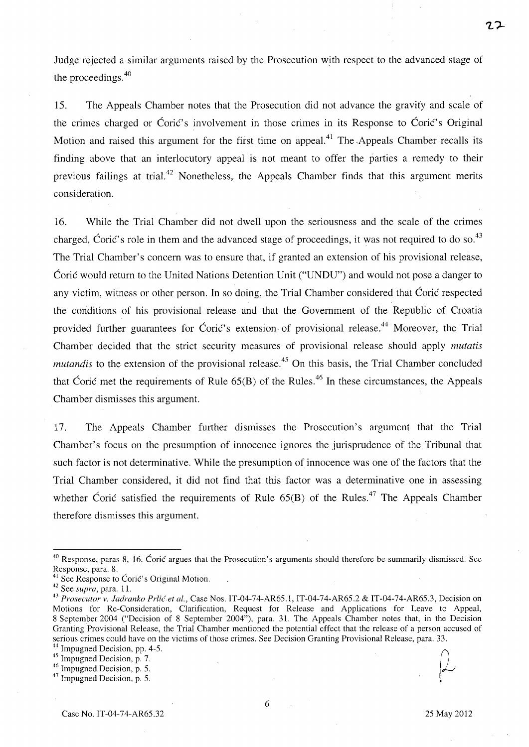Judge rejected a similar arguments raised by the Prosecution with respect to the advanced stage of the proceedings. 4o

15. The Appeals Chamber notes that the Prosecution did not advance the gravity and scale of the crimes charged or Coric's involvement in those crimes in its Response to Coric's Original Motion and raised this argument for the first time on appeal.<sup>41</sup> The Appeals Chamber recalls its finding above that an interlocutory appeal is not meant to offer the parties a remedy to their previous failings at trial.<sup>42</sup> Nonetheless, the Appeals Chamber finds that this argument merits consideration.

16. While the Trial Chamber did not dwell upon the seriousness and the scale of the crimes charged, Coric's role in them and the advanced stage of proceedings, it was not required to do so.<sup>43</sup> The Trial Chamber's concern was to ensure that, if granted an extension of his provisional release, Coric would return to the United Nations Detention Unit ("UNDU") and would not pose a danger to any victim, witness or other person. **In** so doing, the Trial Chamber considered that Corie respected the conditions of his provisional release and that the Government of the Republic of Croatia provided further guarantees for Ćorić's extension of provisional release.<sup>44</sup> Moreover, the Trial Chamber decided that the strict security measures of provisional release should apply *mutatis mutandis* to the extension of the provisional release.<sup>45</sup> On this basis, the Trial Chamber concluded that Coric met the requirements of Rule 65(B) of the Rules.<sup>46</sup> In these circumstances, the Appeals Chamber dismisses this argument.

17. The Appeals Chamber further dismisses the Prosecution's argument that the Trial Chamber's focus on the presumption of innocence ignores the jurisprudence of the Tribunal that such factor is not determinative. While the presumption of innocence was one of the factors that the Trial Chamber considered, it did not find that this factor was a determinative one in assessing whether Coric satisfied the requirements of Rule  $65(B)$  of the Rules.<sup>47</sup> The Appeals Chamber therefore dismisses this argument.

<sup>&</sup>lt;sup>40</sup> Response, paras 8, 16. Coric argues that the Prosecution's arguments should therefore be summarily dismissed. See Response, para. 8.

 $<sup>1</sup>$  See Response to Ćorić's Original Motion.</sup>

<sup>42</sup> See *supra,* para. 11.

*<sup>43</sup> Prosecutor v. ladranko Prlicet ai.,* Case Nos. IT-04-74-AR65.1, IT-04-74-AR65.2 & IT-04-74-AR65.3, Decision on Motions for Re-Consideration, Clarification, Request for Release and Applications for Leave to Appeal, 8 September 2004 ("Decision of 8 September 2004"), para. 31. The Appeals Chamber notes that, in the Decision Granting Provisional Release, the Trial Chamber mentioned the potential effect that the release of a person accused of serious crimes could have on the victims of those crimes. See Decision Granting Provisional Release, para. 33.

 $^{44}$  Impugned Decision, pp. 4-5.

<sup>&</sup>lt;sup>45</sup> Impugned Decision, p. 7.

 $46 \frac{\text{Impayment}}{\text{Impugned Decision}}$ , p. 5.

<sup>&</sup>lt;sup>47</sup> Impugned Decision, p. 5.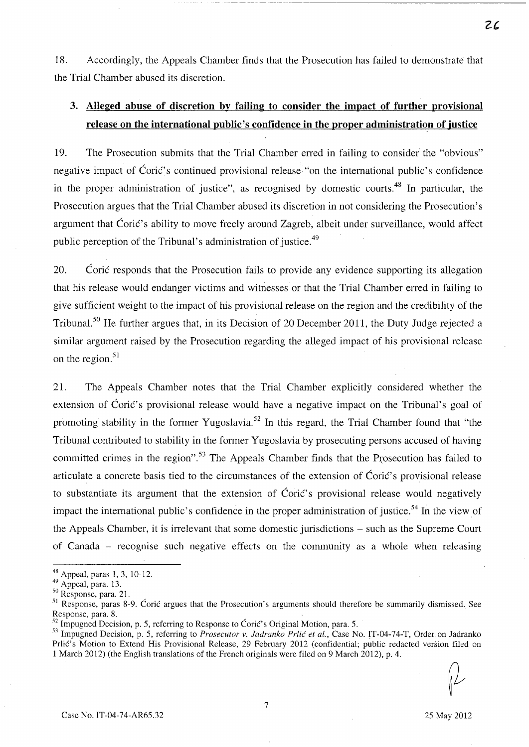18. Accordingly, the Appeals Chamber tinds that the Prosecution has failed to demonstrate that the Trial Chamber abused its discretion.

## **3. Alleged abuse of discretion by failing to consider the impact of further provisional release on the international public's confidence in the proper administration of justice**

19. The Prosecution submits that the Trial Chamber erred in failing to consider the "obvious" negative impact of Ćorić's continued provisional release "on the international public's confidence in the proper administration of justice", as recognised by domestic courts.<sup>48</sup> In particular, the Prosecution argues that the Trial Chamber abused its discretion in not considering the Prosecution's argument that Ćorić's ability to move freely around Zagreb, albeit under surveillance, would affect public perception of the Tribunal's administration of justice.<sup>49</sup>

20. Corie responds that the Prosecution fails to provide any evidence supporting its allegation that his release would endanger victims and witnesses or that the Trial Chamber erred in failing to give sufficient weight to the impact of his provisional release on the region and the credibility of the Tribunal.<sup>50</sup> He further argues that, in its Decision of 20 December 2011, the Duty Judge rejected a similar argument raised by the Prosecution regarding the alleged impact of his provisional release on the region. $51$ 

21. The Appeals Chamber notes that the Trial Chamber explicitly considered whether the extension of Coric's provisional release would have a negative impact on the Tribunal's goal of promoting stability in the former Yugoslavia.<sup>52</sup> In this regard, the Trial Chamber found that "the Tribunal contributed to stability in the former Yugoslavia by prosecuting persons accused of having committed crimes in the region".<sup>53</sup> The Appeals Chamber finds that the Prosecution has failed to articulate a concrete basis tied to the circumstances of the extension of Corie's provisional release to substantiate its argument that the extension of  $\acute{C}$ ori $\acute{c}$ 's provisional release would negatively impact the international public's confidence in the proper administration of justice. 54 **In** the view of the Appeals Chamber, it is irrelevant that some domestic jurisdictions – such as the Supreme Court of Canada - recognise such negative effects on the community as a whole when releasing

<sup>48</sup> Appeal, paras 1,3, 10-12.

 $49 \n{\text{Appendi, para. 13}}$ .

 $50$  Response, para. 21.

<sup>&</sup>lt;sup>51</sup> Response, paras 8-9. Coric argues that the Prosecution's arguments should therefore be summarily dismissed. See Response, para. 8. .

Impugned Decision, p. 5, referring to Response to Ćorić's Original Motion, para. 5.

<sup>5:1</sup> Impugned Decision, p. 5, referring to *Prosecutor* v. *ladranko Prlic et al.,* Case No. IT-04-74-T, Order on ladranko Prlić's Motion to Extend His Provisional Release, 29 February 2012 (confidential; public redacted version filed on 1 March 2012) (the English translations of the French originals were filed on 9 March 2012), p. 4.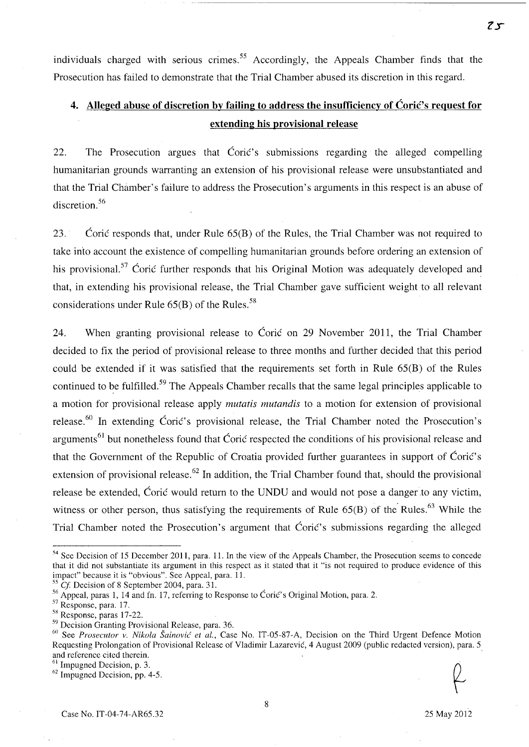individuals charged with serious crimes.<sup>55</sup> Accordingly, the Appeals Chamber finds that the Prosecution has failed to demonstrate that the Trial Chamber abused its discretion in this regard.

## **4. Alleged abuse of discretion by failing to address the insufficiency of Corie's request for extending his provisional release**

22. The Prosecution argues that Corie's submissions regarding the alleged compelling humanitarian grounds warranting an extension of his provisional release were unsubstantiated and that the Trial Chamber's failure to address the Prosecution's arguments in this respect is an abuse of discretion.<sup>56</sup>

23. Corie responds that, under Rule  $65(B)$  of the Rules, the Trial Chamber was not required to take into account the existence of compelling humanitarian grounds before ordering an extension of his provisional.<sup>57</sup> Coric further responds that his Original Motion was adequately developed and that, in extending his provisional release, the Trial Chamber gave sufficient weight to all relevant considerations under Rule  $65(B)$  of the Rules.<sup>58</sup>

24. When granting provisional release to Corie on 29 November 2011, the Trial Chamber decided to fix the period of provisional release to three months and further decided that this period could be extended if it was satisfied that the requirements set forth in Rule 65(B) of the Rules continued to be fulfilled.<sup>59</sup> The Appeals Chamber recalls that the same legal principles applicable to a motion for provisional release apply *mutatis mutandis* to a motion for extension of provisional release.<sup>60</sup> In extending Coric's provisional release, the Trial Chamber noted the Prosecution's arguments<sup>61</sup> but nonetheless found that Coric respected the conditions of his provisional release and that the Government of the Republic of Croatia provided further guarantees in support of Corie's extension of provisional release.<sup>62</sup> In addition, the Trial Chamber found that, should the provisional release be extended, Coric would return to the UNDU and would not pose a danger to any victim, witness or other person, thus satisfying the requirements of Rule  $65(B)$  of the Rules.<sup>63</sup> While the Trial Chamber noted the Prosecution's argument that Coric's submissions regarding the alleged

*Cf.* Decision of 8 September 2004, para. 31.

Case No. IT-04-74-AR6S.32 *2S* May 2012

<sup>54</sup> See Decision of *IS* December 2011, para. 11. In the view of the Appeals Chamber, the Prosecution seems to concede that it did not substantiate its argument in this respect as it stated that it "is not required to produce evidence of this impact" because it is "obvious". See Appeal, para. II.

<sup>&</sup>lt;sup>56</sup> Appeal, paras 1, 14 and fn. 17, referring to Response to Ćorić's Original Motion, para. 2.

<sup>57</sup> Response, para. 17.

<sup>&</sup>lt;sup>58</sup> Response, paras 17-22.

<sup>59</sup> Decision Granting Provisional Release, para. 36.

<sup>60</sup> See *Prosecutor* v. *Nikola Sainovic et al.,* Case No. IT-OS-87-A, Decision on the Third Urgent Defence Motion Requesting Prolongation of Provisional Release of Vladimir Lazarevie, 4 August 2009 (public redacted version), para. *S*  and reference cited therein.<br><sup>61</sup> Impugned Decision, p. 3. and reference cited therein.<br><sup>61</sup> Impugned Decision, p. 3. 0 62 Impugned Decision, pp. 4-5.  $\binom{62}{1}$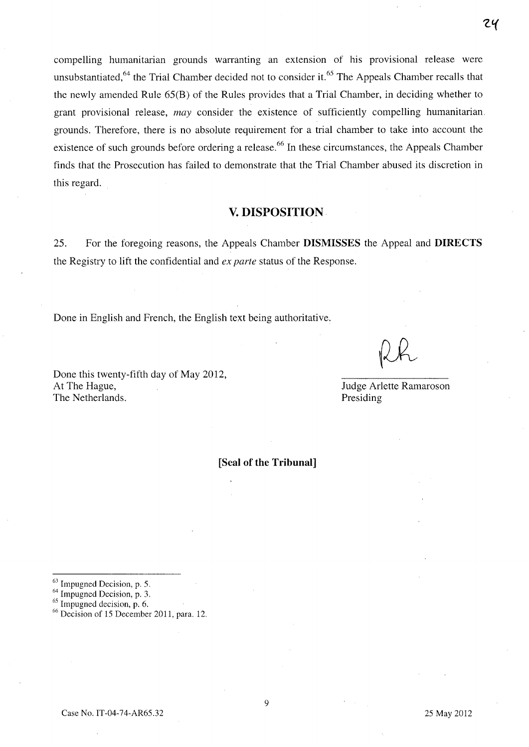compelling humanitarian grounds warranting an extension of his provisional release were unsubstantiated,<sup>64</sup> the Trial Chamber decided not to consider it.<sup>65</sup> The Appeals Chamber recalls that the newly amended Rule 65(B) of the Rules provides that a Trial Chamber, in deciding whether to grant provisional release, *may* consider the existence of sufficiently compelling humanitarian. grounds. Therefore, there is no absolute requirement for a trial chamber to take into account the existence of such grounds before ordering a release.<sup>66</sup> In these circumstances, the Appeals Chamber finds that the Prosecution has failed to demonstrate that the Trial Chamber abused its discretion in this regard.

### **v. DISPOSITION**

25. For the foregoing reasons, the Appeals Chamber **DISMISSES** the Appeal and **DIRECTS**  the Registry to lift the confidential and *ex parte* status of the Response.

Done in English and French, the English text being authoritative.

Done this twenty-fifth day of May 2012, At The Hague, The Netherlands.

Judge Arlette Ramaroson Presiding

**[Seal of the Tribunal]** 

66 Decision of 15 December 2011, para. 12.

<sup>63</sup> Impugned Decision, p. 5.

 $^{64}$  Impugned Decision, p. 3.<br> $^{65}$  Impugned decision, p. 6.